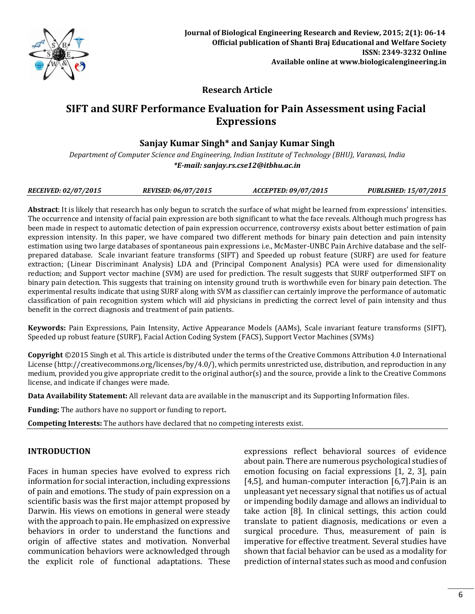

# **Research Article**

# **SIFT and SURF Performance Evaluation for Pain Assessment using Facial Expressions**

# **Sanjay Kumar Singh\* and Sanjay Kumar Singh**

*Department of Computer Science and Engineering, Indian Institute of Technology (BHU), Varanasi, India \*E-mail[: sanjay.rs.cse12@itbhu.ac.in](mailto:sanjay.rs.cse12@itbhu.ac.in)*

|  | <b>REVISED: 06/07/2015</b><br><b>PUBLISHED: 15/07/2015</b><br><b>RECEIVED: 02/07/2015</b><br>ACCEPTED: 09/07/2015 |
|--|-------------------------------------------------------------------------------------------------------------------|
|--|-------------------------------------------------------------------------------------------------------------------|

**Abstract**: It is likely that research has only begun to scratch the surface of what might be learned from expressions' intensities. The occurrence and intensity of facial pain expression are both significant to what the face reveals. Although much progress has been made in respect to automatic detection of pain expression occurrence, controversy exists about better estimation of pain expression intensity. In this paper, we have compared two different methods for binary pain detection and pain intensity estimation using two large databases of spontaneous pain expressions i.e., McMaster-UNBC Pain Archive database and the selfprepared database. Scale invariant feature transforms (SIFT) and Speeded up robust feature (SURF) are used for feature extraction; (Linear Discriminant Analysis) LDA and (Principal Component Analysis) PCA were used for dimensionality reduction; and Support vector machine (SVM) are used for prediction. The result suggests that SURF outperformed SIFT on binary pain detection. This suggests that training on intensity ground truth is worthwhile even for binary pain detection. The experimental results indicate that using SURF along with SVM as classifier can certainly improve the performance of automatic classification of pain recognition system which will aid physicians in predicting the correct level of pain intensity and thus benefit in the correct diagnosis and treatment of pain patients.

**Keywords:** Pain Expressions, Pain Intensity, Active Appearance Models (AAMs), Scale invariant feature transforms (SIFT), Speeded up robust feature (SURF), Facial Action Coding System (FACS), Support Vector Machines (SVMs)

**Copyright** ©2015 Singh et al. This article is distributed under the terms of the Creative Commons Attribution 4.0 International License (http://creativecommons.org/licenses/by/4.0/), which permits unrestricted use, distribution, and reproduction in any medium, provided you give appropriate credit to the original author(s) and the source, provide a link to the Creative Commons license, and indicate if changes were made.

**Data Availability Statement:** All relevant data are available in the manuscript and its Supporting Information files.

**Funding:** The authors have no support or funding to report**.**

**Competing Interests:** The authors have declared that no competing interests exist.

## **INTRODUCTION**

Faces in human species have evolved to express rich information for social interaction, including expressions of pain and emotions. The study of pain expression on a scientific basis was the first major attempt proposed by Darwin. His views on emotions in general were steady with the approach to pain. He emphasized on expressive behaviors in order to understand the functions and origin of affective states and motivation. Nonverbal communication behaviors were acknowledged through the explicit role of functional adaptations. These expressions reflect behavioral sources of evidence about pain. There are numerous psychological studies of emotion focusing on facial expressions [1, 2, 3], pain [4,5], and human-computer interaction [6,7].Pain is an unpleasant yet necessary signal that notifies us of actual or impending bodily damage and allows an individual to take action [8]. In clinical settings, this action could translate to patient diagnosis, medications or even a surgical procedure. Thus, measurement of pain is imperative for effective treatment. Several studies have shown that facial behavior can be used as a modality for prediction of internal states such as mood and confusion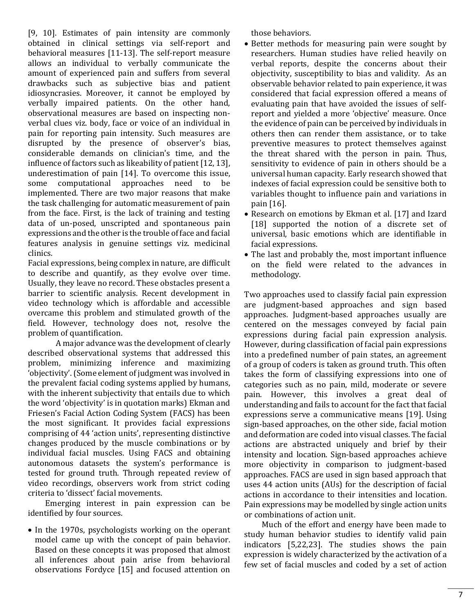[9, 10]. Estimates of pain intensity are commonly obtained in clinical settings via self-report and behavioral measures [11-13]. The self-report measure allows an individual to verbally communicate the amount of experienced pain and suffers from several drawbacks such as subjective bias and patient idiosyncrasies. Moreover, it cannot be employed by verbally impaired patients. On the other hand, observational measures are based on inspecting nonverbal clues viz. body, face or voice of an individual in pain for reporting pain intensity. Such measures are disrupted by the presence of observer's bias, considerable demands on clinician's time, and the influence of factors such as likeability of patient [12, 13], underestimation of pain [14]. To overcome this issue, some computational approaches need to be implemented. There are two major reasons that make the task challenging for automatic measurement of pain from the face. First, is the lack of training and testing data of un-posed, unscripted and spontaneous pain expressions and the other is the trouble of face and facial features analysis in genuine settings viz. medicinal clinics.

Facial expressions, being complex in nature, are difficult to describe and quantify, as they evolve over time. Usually, they leave no record. These obstacles present a barrier to scientific analysis. Recent development in video technology which is affordable and accessible overcame this problem and stimulated growth of the field. However, technology does not, resolve the problem of quantification.

A major advance was the development of clearly described observational systems that addressed this problem, minimizing inference and maximizing 'objectivity'. (Some element of judgment was involved in the prevalent facial coding systems applied by humans, with the inherent subjectivity that entails due to which the word 'objectivity' is in quotation marks) Ekman and Friesen's Facial Action Coding System (FACS) has been the most significant. It provides facial expressions comprising of 44 'action units', representing distinctive changes produced by the muscle combinations or by individual facial muscles. Using FACS and obtaining autonomous datasets the system's performance is tested for ground truth. Through repeated review of video recordings, observers work from strict coding criteria to 'dissect' facial movements.

Emerging interest in pain expression can be identified by four sources.

• In the 1970s, psychologists working on the operant model came up with the concept of pain behavior. Based on these concepts it was proposed that almost all inferences about pain arise from behavioral observations Fordyce [15] and focused attention on those behaviors.

- Better methods for measuring pain were sought by researchers. Human studies have relied heavily on verbal reports, despite the concerns about their objectivity, susceptibility to bias and validity. As an observable behavior related to pain experience, it was considered that facial expression offered a means of evaluating pain that have avoided the issues of selfreport and yielded a more 'objective' measure. Once the evidence of pain can be perceived by individuals in others then can render them assistance, or to take preventive measures to protect themselves against the threat shared with the person in pain. Thus, sensitivity to evidence of pain in others should be a universal human capacity. Early research showed that indexes of facial expression could be sensitive both to variables thought to influence pain and variations in pain [16].
- Research on emotions by Ekman et al. [17] and Izard [18] supported the notion of a discrete set of universal, basic emotions which are identifiable in facial expressions.
- The last and probably the, most important influence on the field were related to the advances in methodology.

Two approaches used to classify facial pain expression are judgment-based approaches and sign based approaches. Judgment-based approaches usually are centered on the messages conveyed by facial pain expressions during facial pain expression analysis. However, during classification of facial pain expressions into a predefined number of pain states, an agreement of a group of coders is taken as ground truth. This often takes the form of classifying expressions into one of categories such as no pain, mild, moderate or severe pain. However, this involves a great deal of understanding and fails to account for the fact that facial expressions serve a communicative means [19]. Using sign-based approaches, on the other side, facial motion and deformation are coded into visual classes. The facial actions are abstracted uniquely and brief by their intensity and location. Sign-based approaches achieve more objectivity in comparison to judgment-based approaches. FACS are used in sign based approach that uses 44 action units (AUs) for the description of facial actions in accordance to their intensities and location. Pain expressions may be modelled by single action units or combinations of action unit.

Much of the effort and energy have been made to study human behavior studies to identify valid pain indicators [5,22,23]. The studies shows the pain expression is widely characterized by the activation of a few set of facial muscles and coded by a set of action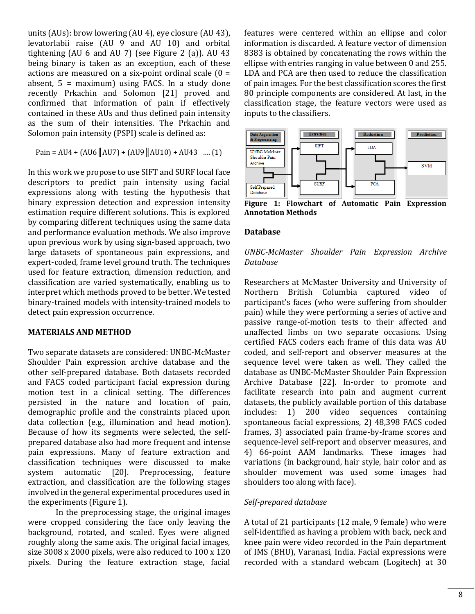units (AUs): brow lowering (AU 4), eye closure (AU 43), levatorlabii raise (AU 9 and AU 10) and orbital tightening (AU 6 and AU 7) (see Figure 2 (a)). AU 43 being binary is taken as an exception, each of these actions are measured on a six-point ordinal scale  $(0 =$ absent,  $5 =$  maximum) using FACS. In a study done recently Prkachin and Solomon [21] proved and confirmed that information of pain if effectively contained in these AUs and thus defined pain intensity as the sum of their intensities. The Prkachin and Solomon pain intensity (PSPI) scale is defined as:

$$
Pain = AU4 + (AU6 \parallel AU7) + (AU9 \parallel AU10) + AU43 \dots (1)
$$

In this work we propose to use SIFT and SURF local face descriptors to predict pain intensity using facial expressions along with testing the hypothesis that binary expression detection and expression intensity estimation require different solutions. This is explored by comparing different techniques using the same data and performance evaluation methods. We also improve upon previous work by using sign-based approach, two large datasets of spontaneous pain expressions, and expert-coded, frame level ground truth. The techniques used for feature extraction, dimension reduction, and classification are varied systematically, enabling us to interpret which methods proved to be better. We tested binary-trained models with intensity-trained models to detect pain expression occurrence.

#### **MATERIALS AND METHOD**

Two separate datasets are considered: UNBC-McMaster Shoulder Pain expression archive database and the other self-prepared database. Both datasets recorded and FACS coded participant facial expression during motion test in a clinical setting. The differences persisted in the nature and location of pain, demographic profile and the constraints placed upon data collection (e.g., illumination and head motion). Because of how its segments were selected, the selfprepared database also had more frequent and intense pain expressions. Many of feature extraction and classification techniques were discussed to make system automatic [20]. Preprocessing, feature extraction, and classification are the following stages involved in the general experimental procedures used in the experiments (Figure 1).

In the preprocessing stage, the original images were cropped considering the face only leaving the background, rotated, and scaled. Eyes were aligned roughly along the same axis. The original facial images, size 3008 x 2000 pixels, were also reduced to 100 x 120 pixels. During the feature extraction stage, facial

features were centered within an ellipse and color information is discarded. A feature vector of dimension 8383 is obtained by concatenating the rows within the ellipse with entries ranging in value between 0 and 255. LDA and PCA are then used to reduce the classification of pain images. For the best classification scores the first 80 principle components are considered. At last, in the classification stage, the feature vectors were used as inputs to the classifiers.



**Figure 1: Flowchart of Automatic Pain Expression Annotation Methods**

## **Database**

# *UNBC-McMaster Shoulder Pain Expression Archive Database*

Researchers at McMaster University and University of Northern British Columbia captured video of participant's faces (who were suffering from shoulder pain) while they were performing a series of active and passive range-of-motion tests to their affected and unaffected limbs on two separate occasions. Using certified FACS coders each frame of this data was AU coded, and self-report and observer measures at the sequence level were taken as well. They called the database as UNBC-McMaster Shoulder Pain Expression Archive Database [22]. In-order to promote and facilitate research into pain and augment current datasets, the publicly available portion of this database includes: 1) 200 video sequences containing spontaneous facial expressions, 2) 48,398 FACS coded frames, 3) associated pain frame-by-frame scores and sequence-level self-report and observer measures, and 4) 66-point AAM landmarks. These images had variations (in background, hair style, hair color and as shoulder movement was used some images had shoulders too along with face).

## *Self-prepared database*

A total of 21 participants (12 male, 9 female) who were self-identified as having a problem with back, neck and knee pain were video recorded in the Pain department of IMS (BHU), Varanasi, India. Facial expressions were recorded with a standard webcam (Logitech) at 30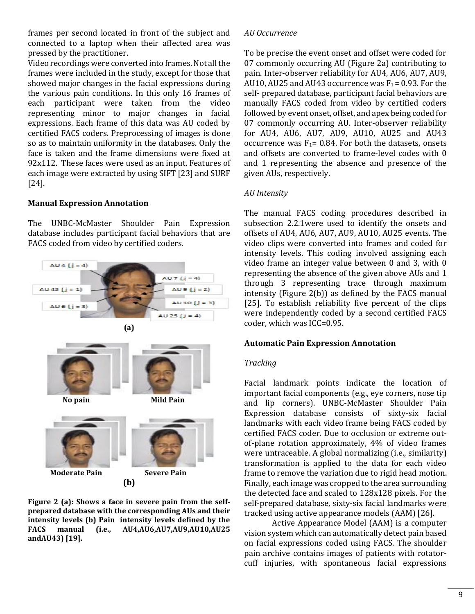frames per second located in front of the subject and connected to a laptop when their affected area was pressed by the practitioner.

Video recordings were converted into frames. Not all the frames were included in the study, except for those that showed major changes in the facial expressions during the various pain conditions. In this only 16 frames of each participant were taken from the video representing minor to major changes in facial expressions. Each frame of this data was AU coded by certified FACS coders. Preprocessing of images is done so as to maintain uniformity in the databases. Only the face is taken and the frame dimensions were fixed at 92x112. These faces were used as an input. Features of each image were extracted by using SIFT [23] and SURF [24].

### **Manual Expression Annotation**

The UNBC-McMaster Shoulder Pain Expression database includes participant facial behaviors that are FACS coded from video by certified coders.



**Figure 2 (a): Shows a face in severe pain from the selfprepared database with the corresponding AUs and their intensity levels (b) Pain intensity levels defined by the FACS manual (i.e., AU4,AU6,AU7,AU9,AU10,AU25 andAU43) [19].**

#### *AU Occurrence*

To be precise the event onset and offset were coded for 07 commonly occurring AU (Figure 2a) contributing to pain. Inter-observer reliability for AU4, AU6, AU7, AU9, AU10, AU25 and AU43 occurrence was  $F_1 = 0.93$ . For the self- prepared database, participant facial behaviors are manually FACS coded from video by certified coders followed by event onset, offset, and apex being coded for 07 commonly occurring AU. Inter-observer reliability for AU4, AU6, AU7, AU9, AU10, AU25 and AU43 occurrence was  $F_1$ = 0.84. For both the datasets, onsets and offsets are converted to frame-level codes with 0 and 1 representing the absence and presence of the given AUs, respectively.

### *AU Intensity*

The manual FACS coding procedures described in subsection 2.2.1were used to identify the onsets and offsets of AU4, AU6, AU7, AU9, AU10, AU25 events. The video clips were converted into frames and coded for intensity levels. This coding involved assigning each video frame an integer value between 0 and 3, with 0 representing the absence of the given above AUs and 1 through 3 representing trace through maximum intensity (Figure 2(b)) as defined by the FACS manual [25]. To establish reliability five percent of the clips were independently coded by a second certified FACS coder, which was ICC=0.95.

### **Automatic Pain Expression Annotation**

### *Tracking*

Facial landmark points indicate the location of important facial components (e.g., eye corners, nose tip and lip corners). UNBC-McMaster Shoulder Pain Expression database consists of sixty-six facial landmarks with each video frame being FACS coded by certified FACS coder. Due to occlusion or extreme outof-plane rotation approximately, 4% of video frames were untraceable. A global normalizing (i.e., similarity) transformation is applied to the data for each video frame to remove the variation due to rigid head motion. Finally, each image was cropped to the area surrounding the detected face and scaled to 128x128 pixels. For the self-prepared database, sixty-six facial landmarks were tracked using active appearance models (AAM) [26].

Active Appearance Model (AAM) is a computer vision system which can automatically detect pain based on facial expressions coded using FACS. The shoulder pain archive contains images of patients with rotatorcuff injuries, with spontaneous facial expressions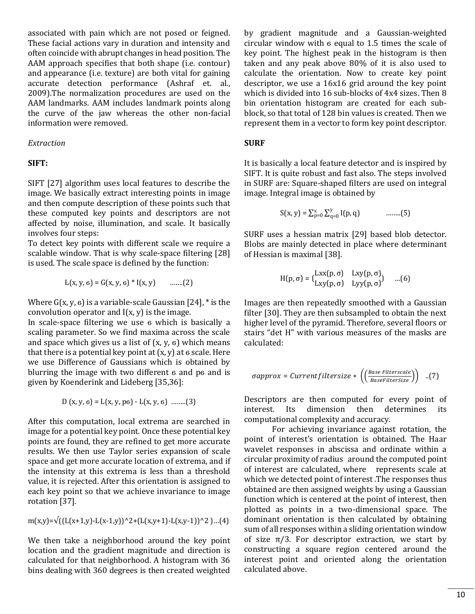associated with pain which are not posed or feigned. These facial actions vary in duration and intensity and often coincide with abrupt changes in head position. The AAM approach specifies that both shape (i.e. contour) and appearance (i.e. texture) are both vital for gaining accurate detection performance (Ashraf et. al., 2009).The normalization procedures are used on the AAM landmarks. AAM includes landmark points along the curve of the jaw whereas the other non-facial information were removed.

#### *Extraction*

#### **SIFT:**

SIFT [27] algorithm uses local features to describe the image. We basically extract interesting points in image and then compute description of these points such that these computed key points and descriptors are not affected by noise, illumination, and scale. It basically involves four steps:

To detect key points with different scale we require a scalable window. That is why scale-space filtering [28] is used. The scale space is defined by the function:

$$
L(x, y, 6) = G(x, y, 6) * I(x, y) \quad \dots (2)
$$

Where  $G(x, y, 6)$  is a variable-scale Gaussian [24], \* is the convolution operator and  $I(x, y)$  is the image.

In scale-space filtering we use 6 which is basically a scaling parameter. So we find maxima across the scale and space which gives us a list of  $(x, y, 6)$  which means that there is a potential key point at  $(x, y)$  at  $\epsilon$  scale. Here we use Difference of Gaussians which is obtained by blurring the image with two different 6 and p6 and is given by Koenderink and Lideberg [35,36]:

$$
D(x, y, 6) = L(x, y, p6) - L(x, y, 6) \quad ......(3)
$$

After this computation, local extrema are searched in image for a potential key point. Once these potential key points are found, they are refined to get more accurate results. We then use Taylor series expansion of scale space and get more accurate location of extrema, and if the intensity at this extrema is less than a threshold value, it is rejected. After this orientation is assigned to each key point so that we achieve invariance to image rotation [37].

$$
m(x,y)=\sqrt{((L(x+1,y)-L(x-1,y))^2+(L(x,y+1)-L(x,y-1))^2)(...(4)}
$$

We then take a neighborhood around the key point location and the gradient magnitude and direction is calculated for that neighborhood. A histogram with 36 bins dealing with 360 degrees is then created weighted by gradient magnitude and a Gaussian-weighted circular window with 6 equal to 1.5 times the scale of key point. The highest peak in the histogram is then taken and any peak above 80% of it is also used to calculate the orientation. Now to create key point descriptor, we use a 16x16 grid around the key point which is divided into 16 sub-blocks of 4x4 sizes. Then 8 bin orientation histogram are created for each subblock, so that total of 128 bin values is created. Then we represent them in a vector to form key point descriptor.

#### **SURF**

It is basically a local feature detector and is inspired by SIFT. It is quite robust and fast also. The steps involved in SURF are: Square-shaped filters are used on integral image. Integral image is obtained by

$$
S(x, y) = \sum_{p=0}^{x} \sum_{q=0}^{y} I(p, q)
$$
 ......(5)

SURF uses a hessian matrix [29] based blob detector. Blobs are mainly detected in place where determinant of Hessian is maximal [38].

$$
H(p, \sigma) = \begin{pmatrix} Lxx(p, \sigma) & Lxy(p, \sigma) \\ Lxy(p, \sigma) & Lyy(p, \sigma) \end{pmatrix} \quad ...(6)
$$

Images are then repeatedly smoothed with a Gaussian filter [30]. They are then subsampled to obtain the next higher level of the pyramid. Therefore, several floors or stairs "det H" with various measures of the masks are calculated:

$$
\sigmaapprox = Currentfiltersize * \left( \left( \frac{Base \text{ Filters} }{BaseFilterSize} \right) \right) \quad ..(7)
$$

Descriptors are then computed for every point of interest. Its dimension then determines its computational complexity and accuracy.

For achieving invariance against rotation, the point of interest's orientation is obtained. The Haar wavelet responses in abscissa and ordinate within a circular proximity of radius around the computed point of interest are calculated, where represents scale at which we detected point of interest .The responses thus obtained are then assigned weights by using a Gaussian function which is centered at the point of interest, then plotted as points in a two-dimensional space. The dominant orientation is then calculated by obtaining sum of all responses within a sliding orientation window of size  $\pi/3$ . For descriptor extraction, we start by constructing a square region centered around the interest point and oriented along the orientation calculated above.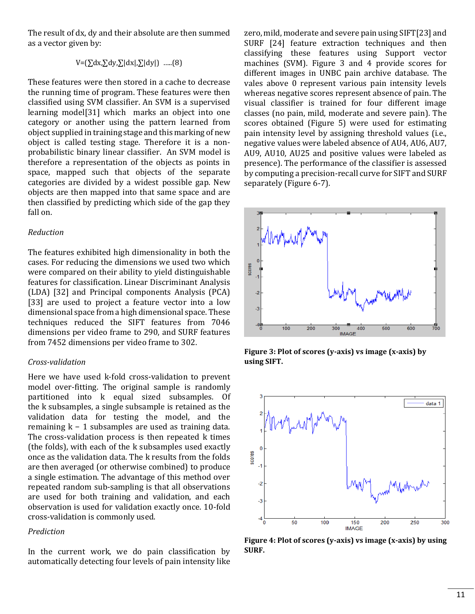The result of dx, dy and their absolute are then summed as a vector given by:

 $V = (\sum dx, \sum dy, \sum |dx|, \sum |dy|)$  .....(8)

These features were then stored in a cache to decrease the running time of program. These features were then classified using SVM classifier. An SVM is a supervised learning model[31] which marks an object into one category or another using the pattern learned from object supplied in training stage and this marking of new object is called testing stage. Therefore it is a nonprobabilistic binary linear classifier. An SVM model is therefore a representation of the objects as points in space, mapped such that objects of the separate categories are divided by a widest possible gap. New objects are then mapped into that same space and are then classified by predicting which side of the gap they fall on.

#### *Reduction*

The features exhibited high dimensionality in both the cases. For reducing the dimensions we used two which were compared on their ability to yield distinguishable features for classification. Linear Discriminant Analysis (LDA) [32] and Principal components Analysis (PCA) [33] are used to project a feature vector into a low dimensional space from a high dimensional space. These techniques reduced the SIFT features from 7046 dimensions per video frame to 290, and SURF features from 7452 dimensions per video frame to 302.

### *Cross-validation*

Here we have used k-fold cross-validation to prevent model over-fitting. The original sample is randomly partitioned into k equal sized subsamples. Of the k subsamples, a single subsample is retained as the validation data for testing the model, and the remaining k − 1 subsamples are used as training data. The cross-validation process is then repeated k times (the folds), with each of the k subsamples used exactly once as the validation data. The k results from the folds are then averaged (or otherwise combined) to produce a single estimation. The advantage of this method over repeated random sub-sampling is that all observations are used for both training and validation, and each observation is used for validation exactly once. 10-fold cross-validation is commonly used.

## *Prediction*

In the current work, we do pain classification by automatically detecting four levels of pain intensity like

zero, mild, moderate and severe pain using SIFT[23] and SURF [24] feature extraction techniques and then classifying these features using Support vector machines (SVM). Figure 3 and 4 provide scores for different images in UNBC pain archive database. The vales above 0 represent various pain intensity levels whereas negative scores represent absence of pain. The visual classifier is trained for four different image classes (no pain, mild, moderate and severe pain). The scores obtained (Figure 5) were used for estimating pain intensity level by assigning threshold values (i.e., negative values were labeled absence of AU4, AU6, AU7, AU9, AU10, AU25 and positive values were labeled as presence). The performance of the classifier is assessed by computing a precision-recall curve for SIFT and SURF separately (Figure 6-7).



**Figure 3: Plot of scores (y-axis) vs image (x-axis) by using SIFT.**



**Figure 4: Plot of scores (y-axis) vs image (x-axis) by using SURF.**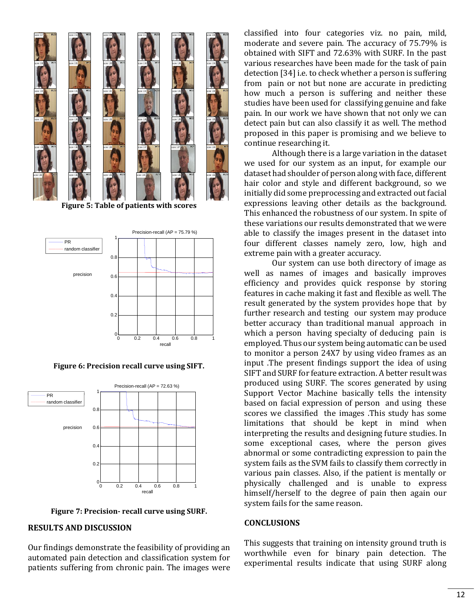

**Figure 5: Table of patients with scores**



**Figure 6: Precision recall curve using SIFT.**



**Figure 7: Precision- recall curve using SURF.**

#### **RESULTS AND DISCUSSION**

Our findings demonstrate the feasibility of providing an automated pain detection and classification system for patients suffering from chronic pain. The images were

classified into four categories viz. no pain, mild, moderate and severe pain. The accuracy of 75.79% is obtained with SIFT and 72.63% with SURF. In the past various researches have been made for the task of pain detection [34] i.e. to check whether a person is suffering from pain or not but none are accurate in predicting how much a person is suffering and neither these studies have been used for classifying genuine and fake pain. In our work we have shown that not only we can detect pain but can also classify it as well. The method proposed in this paper is promising and we believe to continue researching it.

Although there is a large variation in the dataset we used for our system as an input, for example our dataset had shoulder of person along with face, different hair color and style and different background, so we initially did some preprocessing and extracted out facial expressions leaving other details as the background. This enhanced the robustness of our system. In spite of these variations our results demonstrated that we were able to classify the images present in the dataset into four different classes namely zero, low, high and extreme pain with a greater accuracy.

Our system can use both directory of image as well as names of images and basically improves efficiency and provides quick response by storing features in cache making it fast and flexible as well. The result generated by the system provides hope that by further research and testing our system may produce better accuracy than traditional manual approach in which a person having specialty of deducing pain is employed. Thus our system being automatic can be used to monitor a person 24X7 by using video frames as an input .The present findings support the idea of using SIFT and SURF for feature extraction. A better result was produced using SURF. The scores generated by using Support Vector Machine basically tells the intensity based on facial expression of person and using these scores we classified the images .This study has some limitations that should be kept in mind when interpreting the results and designing future studies. In some exceptional cases, where the person gives abnormal or some contradicting expression to pain the system fails as the SVM fails to classify them correctly in various pain classes. Also, if the patient is mentally or physically challenged and is unable to express himself/herself to the degree of pain then again our system fails for the same reason.

#### **CONCLUSIONS**

This suggests that training on intensity ground truth is worthwhile even for binary pain detection. The experimental results indicate that using SURF along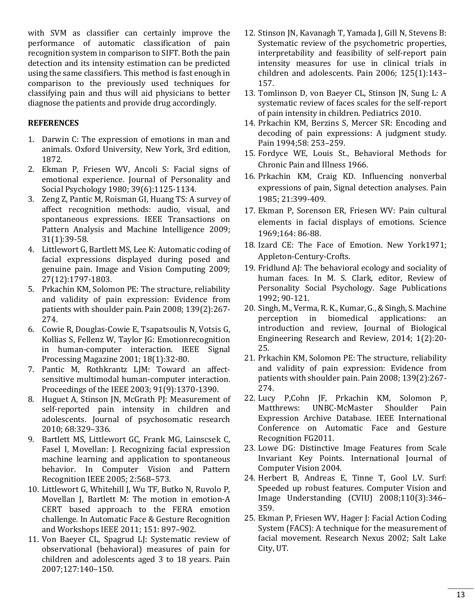with SVM as classifier can certainly improve the performance of automatic classification of pain recognition system in comparison to SIFT. Both the pain detection and its intensity estimation can be predicted using the same classifiers. This method is fast enough in comparison to the previously used techniques for classifying pain and thus will aid physicians to better diagnose the patients and provide drug accordingly.

# **REFERENCES**

- 1. Darwin C: The expression of emotions in man and animals. Oxford University, New York, 3rd edition, 1872.
- 2. Ekman P, Friesen WV, Ancoli S: Facial signs of emotional experience. Journal of Personality and Social Psychology 1980; 39(6):1125-1134.
- 3. Zeng Z, Pantic M, Roisman GI, Huang TS: A survey of affect recognition methods: audio, visual, and spontaneous expressions. IEEE Transactions on Pattern Analysis and Machine Intelligence 2009; 31(1):39-58.
- 4. Littlewort G, Bartlett MS, Lee K: Automatic coding of facial expressions displayed during posed and genuine pain. Image and Vision Computing 2009; 27(12):1797-1803.
- 5. Prkachin KM, Solomon PE: The structure, reliability and validity of pain expression: Evidence from patients with shoulder pain. Pain 2008; 139(2):267- 274.
- 6. Cowie R, Douglas-Cowie E, Tsapatsoulis N, Votsis G, Kollias S, Fellenz W, Taylor JG: Emotionrecognition in human-computer interaction. IEEE Signal Processing Magazine 2001; 18(1):32-80.
- 7. Pantic M, Rothkrantz LJM: Toward an affectsensitive multimodal human-computer interaction. Proceedings of the IEEE 2003; 91(9):1370-1390.
- 8. Huguet A, Stinson JN, McGrath PJ: Measurement of self-reported pain intensity in children and adolescents. Journal of psychosomatic research 2010; 68:329–336.
- 9. Bartlett MS, Littlewort GC, Frank MG, Lainscsek C, Fasel I, Movellan: J. Recognizing facial expression machine learning and application to spontaneous behavior. In Computer Vision and Pattern Recognition IEEE 2005; 2:568–573.
- 10. Littlewort G, Whitehill J, Wu TF, Butko N, Ruvolo P, Movellan J, Bartlett M: The motion in emotion-A CERT based approach to the FERA emotion challenge. In Automatic Face & Gesture Recognition and Workshops IEEE 2011; 151: 897–902.
- 11. Von Baeyer CL, Spagrud LJ: Systematic review of observational (behavioral) measures of pain for children and adolescents aged 3 to 18 years. Pain 2007;127:140–150.
- 12. Stinson JN, Kavanagh T, Yamada J, Gill N, Stevens B: Systematic review of the psychometric properties, interpretability and feasibility of self-report pain intensity measures for use in clinical trials in children and adolescents. Pain 2006; 125(1):143– 157.
- 13. Tomlinson D, von Baeyer CL, Stinson JN, Sung L: A systematic review of faces scales for the self-report of pain intensity in children. Pediatrics 2010.
- 14. Prkachin KM, Berzins S, Mercer SR: Encoding and decoding of pain expressions: A judgment study. Pain 1994;58: 253–259.
- 15. Fordyce WE, Louis St., Behavioral Methods for Chronic Pain and Illness 1966.
- 16. Prkachin KM, Craig KD. Influencing nonverbal expressions of pain, Signal detection analyses. Pain 1985; 21:399-409.
- 17. Ekman P, Sorenson ER, Friesen WV: Pain cultural elements in facial displays of emotions. Science 1969;164: 86-88.
- 18. Izard CE: The Face of Emotion. New York1971; Appleton-Century-Crofts.
- 19. Fridlund AJ: The behavioral ecology and sociality of human faces. In M. S. Clark, editor, Review of Personality Social Psychology. Sage Publications 1992; 90-121.
- 20. Singh, M., Verma, R. K., Kumar, G., & Singh, S. Machine perception in biomedical applications: an introduction and review, Journal of Biological Engineering Research and Review, 2014; 1(2):20- 25.
- 21. Prkachin KM, Solomon PE: The structure, reliability and validity of pain expression: Evidence from patients with shoulder pain. Pain 2008; 139(2):267- 274.
- 22. Lucy P,Cohn JF, Prkachin KM, Solomon P, Matthrews: UNBC-McMaster Shoulder Pain Expression Archive Database. IEEE International Conference on Automatic Face and Gesture Recognition FG2011.
- 23. Lowe DG: Distinctive Image Features from Scale Invariant Key Points. International Journal of Computer Vision 2004.
- 24. Herbert B, Andreas E, Tinne T, Gool LV. Surf: Speeded up robust features. Computer Vision and Image Understanding (CVIU) 2008;110(3):346– 359.
- 25. Ekman P, Friesen WV, Hager J: Facial Action Coding System (FACS): A technique for the measurement of facial movement. Research Nexus 2002; Salt Lake City, UT.